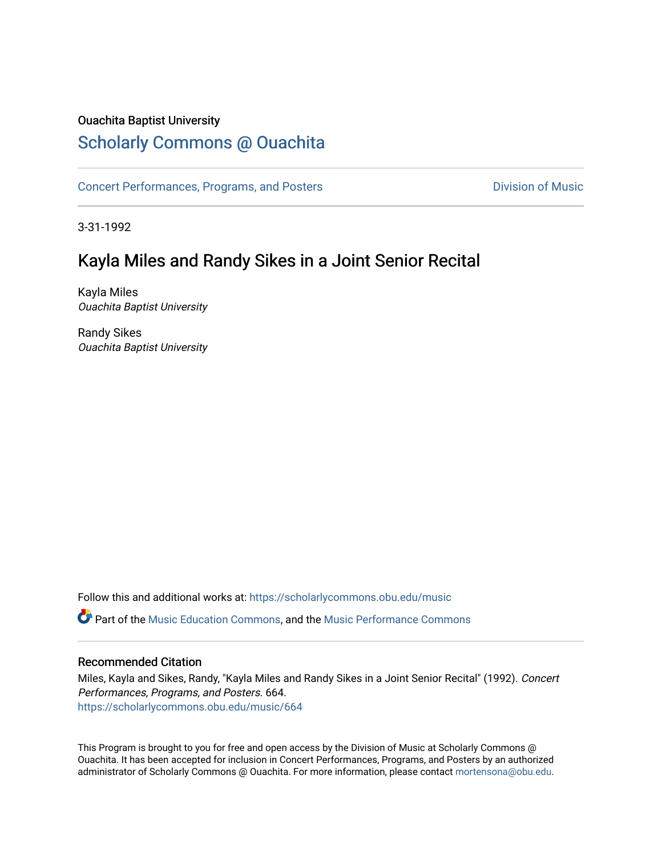### Ouachita Baptist University

# [Scholarly Commons @ Ouachita](https://scholarlycommons.obu.edu/)

[Concert Performances, Programs, and Posters](https://scholarlycommons.obu.edu/music) **Division of Music** Division of Music

3-31-1992

# Kayla Miles and Randy Sikes in a Joint Senior Recital

Kayla Miles Ouachita Baptist University

Randy Sikes Ouachita Baptist University

Follow this and additional works at: [https://scholarlycommons.obu.edu/music](https://scholarlycommons.obu.edu/music?utm_source=scholarlycommons.obu.edu%2Fmusic%2F664&utm_medium=PDF&utm_campaign=PDFCoverPages)  Part of the [Music Education Commons,](http://network.bepress.com/hgg/discipline/1246?utm_source=scholarlycommons.obu.edu%2Fmusic%2F664&utm_medium=PDF&utm_campaign=PDFCoverPages) and the [Music Performance Commons](http://network.bepress.com/hgg/discipline/1128?utm_source=scholarlycommons.obu.edu%2Fmusic%2F664&utm_medium=PDF&utm_campaign=PDFCoverPages) 

#### Recommended Citation

Miles, Kayla and Sikes, Randy, "Kayla Miles and Randy Sikes in a Joint Senior Recital" (1992). Concert Performances, Programs, and Posters. 664. [https://scholarlycommons.obu.edu/music/664](https://scholarlycommons.obu.edu/music/664?utm_source=scholarlycommons.obu.edu%2Fmusic%2F664&utm_medium=PDF&utm_campaign=PDFCoverPages) 

This Program is brought to you for free and open access by the Division of Music at Scholarly Commons @ Ouachita. It has been accepted for inclusion in Concert Performances, Programs, and Posters by an authorized administrator of Scholarly Commons @ Ouachita. For more information, please contact [mortensona@obu.edu](mailto:mortensona@obu.edu).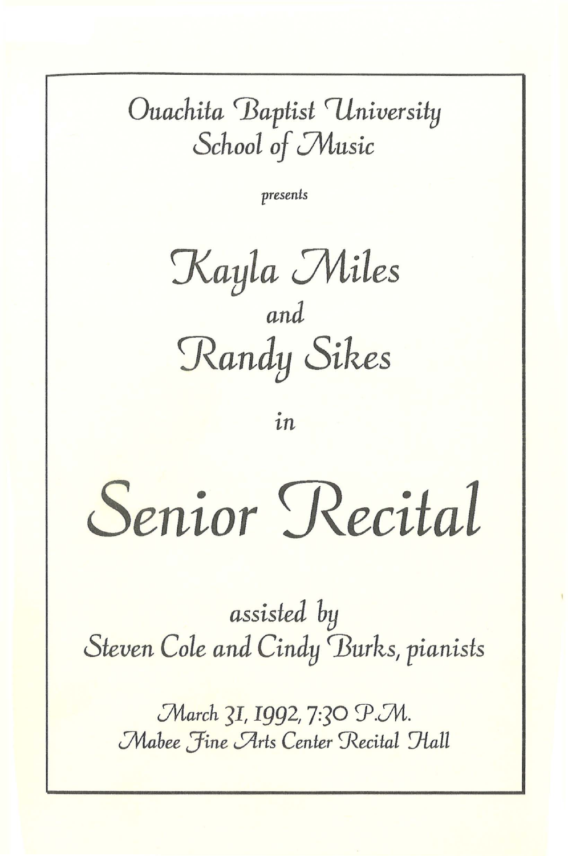# Ouachita Baptist University School of Music

presents

Kayla Miles and Randy Sikes

in

Senior Recital

assisted by Steven Cole and Cindy Burks, pianists

March 31, 1992, 7:30 P.M. Mabee Fine Arts Center Recital Hall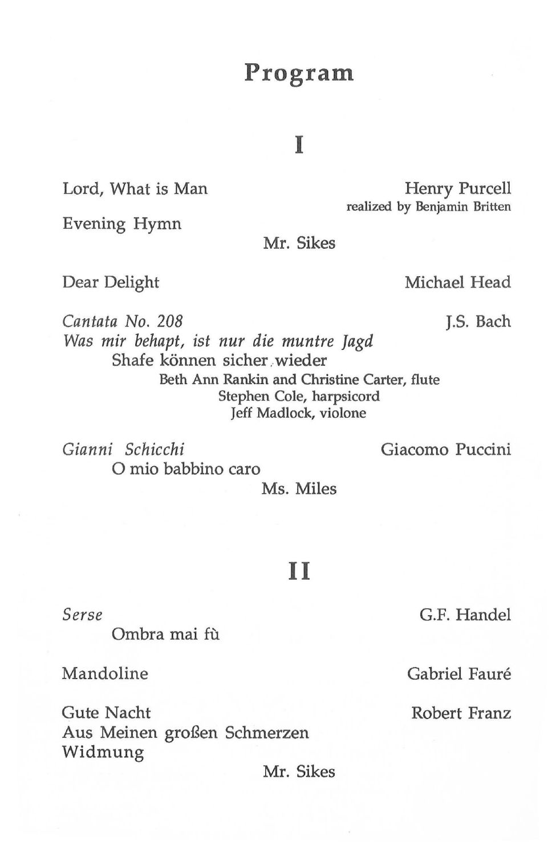# **Program**

## I

Lord, What is Man Henry Purcell realized by Benjamin Britten

Evening Hymn

Mr. Sikes

Dear Delight

Michael Head

*Cantata No. 208 Was mir behapt, ist nur die muntre ]agd*  Shafe können sicher wieder J.S. Bach Beth Ann Rankin and Christine Carter, flute Stephen Cole, harpsicord Jeff Madlock, violone

*Gianni Schicchi*  0 mio babbino caro Giacomo Puccini

Ms. Miles

### **II**

*Serse* 

Ombra mai fù

Mandoline

Gute Nacht Aus Meinen großen Schmerzen Widmung

Mr. Sikes

G.F. Handel

Gabriel Fauré

Robert Franz